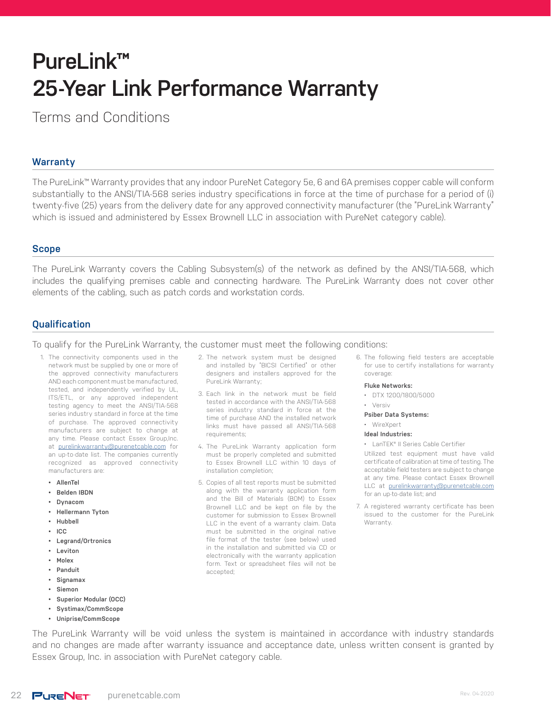# **PureLink™ 25-Year Link Performance Warranty**

Terms and Conditions

# **Warranty**

The PureLink™ Warranty provides that any indoor PureNet Category 5e, 6 and 6A premises copper cable will conform substantially to the ANSI/TIA-568 series industry specifications in force at the time of purchase for a period of (i) twenty-five (25) years from the delivery date for any approved connectivity manufacturer (the "PureLink Warranty" which is issued and administered by Essex Brownell LLC in association with PureNet category cable).

#### **Scope**

The PureLink Warranty covers the Cabling Subsystem(s) of the network as defined by the ANSI/TIA-568, which includes the qualifying premises cable and connecting hardware. The PureLink Warranty does not cover other elements of the cabling, such as patch cords and workstation cords.

# **Qualification**

To qualify for the PureLink Warranty, the customer must meet the following conditions:

- 1. The connectivity components used in the network must be supplied by one or more of the approved connectivity manufacturers AND each component must be manufactured, tested, and independently verified by UL, ITS/ETL, or any approved independent testing agency to meet the ANSI/TIA-568 series industry standard in force at the time of purchase. The approved connectivity manufacturers are subject to change at any time. Please contact Essex Group, Inc. at [purelinkwarranty@purenetcable.com](mailto:purelinkwarranty%40purenetcable.com?subject=PureLink%20Warranty%20Question) for an up-to-date list. The companies currently recognized as approved connectivity manufacturers are:
	- **• AllenTel**
	- **• Belden IBDN**
	- **• Dynacom**
	- **• Hellermann Tyton**
	- **• Hubbell**
	- **• ICC**
	- **• Legrand/Ortronics**
	- **• Leviton**
	- **• Molex**
	- **• Panduit**
	- **• Signamax**
	- **• Siemon**
	- **• Superior Modular (OCC)**
	- **• Systimax/CommScope**
	- **• Uniprise/CommScope**
- 2. The network system must be designed and installed by "BICSI Certified" or other designers and installers approved for the PureLink Warranty;
- 3. Each link in the network must be field tested in accordance with the ANSI/TIA-568 series industry standard in force at the time of purchase AND the installed network links must have passed all ANSI/TIA-568 requirements;
- 4. The PureLink Warranty application form must be properly completed and submitted to Essex Brownell LLC within 10 days of installation completion;
- 5. Copies of all test reports must be submitted along with the warranty application form and the Bill of Materials (BOM) to Essex Brownell LLC and be kept on file by the customer for submission to Essex Brownell LLC in the event of a warranty claim. Data must be submitted in the original native file format of the tester (see below) used in the installation and submitted via CD or electronically with the warranty application form. Text or spreadsheet files will not be accepted;
- 6. The following field testers are acceptable for use to certify installations for warranty coverage:
	- **Fluke Networks:**
	- DTX 1200/1800/5000
	- Versiv
	- **Psiber Data Systems:**
	- WireXpert
	- **Ideal Industries:**
	- LanTEK® II Series Cable Certifier

Utilized test equipment must have valid certificate of calibration at time of testing. The acceptable field testers are subject to change at any time. Please contact Essex Brownell LLC at [purelinkwarranty@purenetcable.com](mailto:purelinkwarranty%40purenetcable.com?subject=PureLink%20Warranty%20Question) for an up-to-date list; and

7. A registered warranty certificate has been issued to the customer for the PureLink Warranty.

The PureLink Warranty will be void unless the system is maintained in accordance with industry standards and no changes are made after warranty issuance and acceptance date, unless written consent is granted by Essex Group, Inc. in association with PureNet category cable.